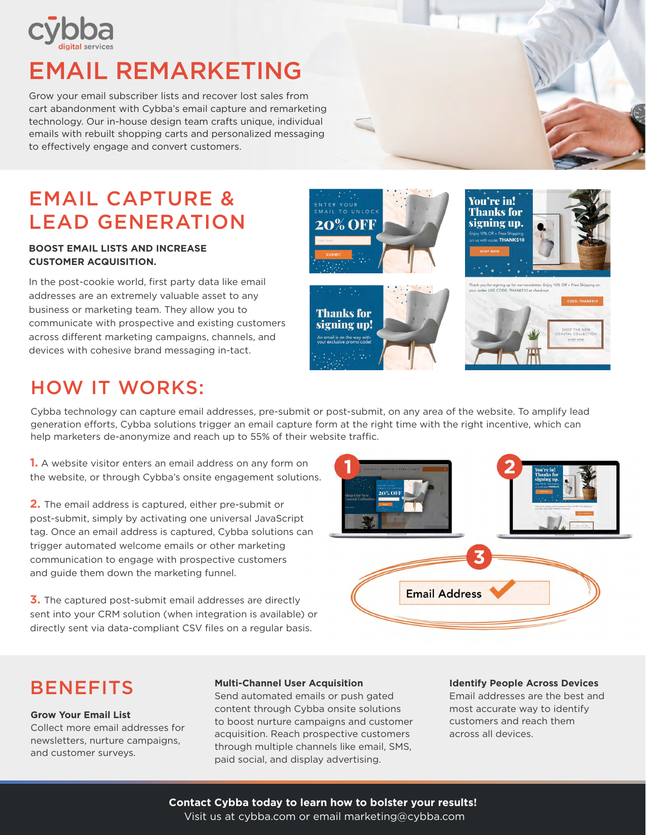

# EMAIL REMARKETING

Grow your email subscriber lists and recover lost sales from cart abandonment with Cybba's email capture and remarketing technology. Our in-house design team crafts unique, individual emails with rebuilt shopping carts and personalized messaging to effectively engage and convert customers.

## EMAIL CAPTURE & LEAD GENERATION

#### **BOOST EMAIL LISTS AND INCREASE CUSTOMER ACQUISITION.**

In the post-cookie world, first party data like email addresses are an extremely valuable asset to any business or marketing team. They allow you to communicate with prospective and existing customers across different marketing campaigns, channels, and devices with cohesive brand messaging in-tact.



### HOW IT WORKS:

Cybba technology can capture email addresses, pre-submit or post-submit, on any area of the website. To amplify lead generation efforts, Cybba solutions trigger an email capture form at the right time with the right incentive, which can help marketers de-anonymize and reach up to 55% of their website traffic.

**1.** A website visitor enters an email address on any form on the website, or through Cybba's onsite engagement solutions.

**2.** The email address is captured, either pre-submit or post-submit, simply by activating one universal JavaScript tag. Once an email address is captured, Cybba solutions can trigger automated welcome emails or other marketing communication to engage with prospective customers and guide them down the marketing funnel.

**3.** The captured post-submit email addresses are directly sent into your CRM solution (when integration is available) or directly sent via data-compliant CSV files on a regular basis.



### **BENEFITS**

**Grow Your Email List** Collect more email addresses for newsletters, nurture campaigns, and customer surveys.

#### **Multi-Channel User Acquisition**

Send automated emails or push gated content through Cybba onsite solutions to boost nurture campaigns and customer acquisition. Reach prospective customers through multiple channels like email, SMS, paid social, and display advertising.

#### **Identify People Across Devices**

Email addresses are the best and most accurate way to identify customers and reach them across all devices.